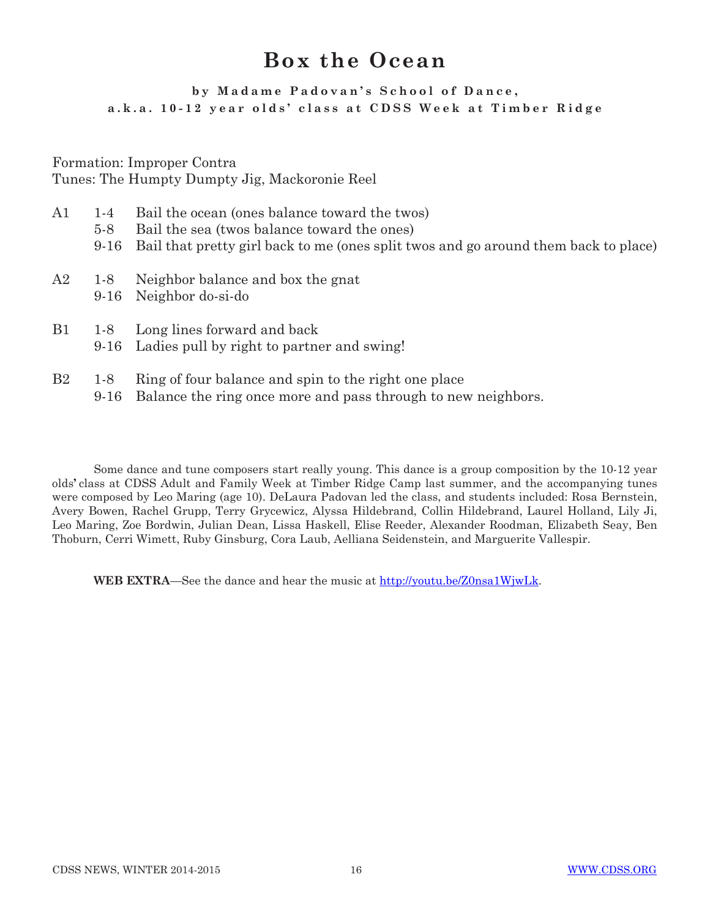## **Box the Ocean**

## **by Madame Padovan's School of Dance, a.k.a. 10-12 year olds' class at CDSS Week at Timber Ridge**

Formation: Improper Contra Tunes: The Humpty Dumpty Jig, Mackoronie Reel

- A1 1-4 Bail the ocean (ones balance toward the twos)
	- 5-8 Bail the sea (twos balance toward the ones)
	- 9-16 Bail that pretty girl back to me (ones split twos and go around them back to place)
- A2 1-8 Neighbor balance and box the gnat
	- 9-16 Neighbor do-si-do
- B1 1-8 Long lines forward and back
	- 9-16 Ladies pull by right to partner and swing!
- B2 1-8 Ring of four balance and spin to the right one place
	- 9-16 Balance the ring once more and pass through to new neighbors.

Some dance and tune composers start really young. This dance is a group composition by the 10-12 year olds**'** class at CDSS Adult and Family Week at Timber Ridge Camp last summer, and the accompanying tunes were composed by Leo Maring (age 10). DeLaura Padovan led the class, and students included: Rosa Bernstein, Avery Bowen, Rachel Grupp, Terry Grycewicz, Alyssa Hildebrand, Collin Hildebrand, Laurel Holland, Lily Ji, Leo Maring, Zoe Bordwin, Julian Dean, Lissa Haskell, Elise Reeder, Alexander Roodman, Elizabeth Seay, Ben Thoburn, Cerri Wimett, Ruby Ginsburg, Cora Laub, Aelliana Seidenstein, and Marguerite Vallespir.

WEB EXTRA—See the dance and hear the music at http://youtu.be/Z0nsa1WjwLk.